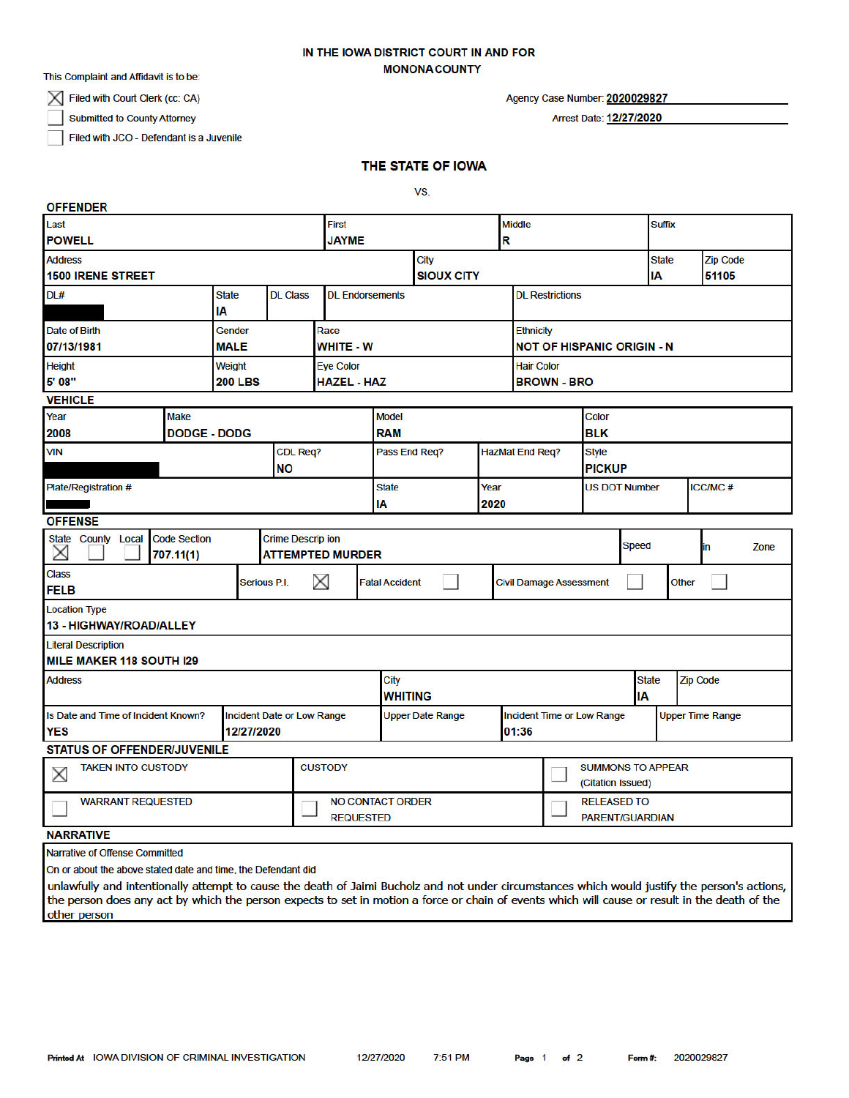## IN THE IOWA DISTRICT COURT IN AND FOR **MONONACOUNTY**

This Complaint and Affidavit is to be:

 $\boxtimes$  Filed with Court Clerk (cc: CA)

**Submitted to County Attorney** 

Filed with JCO - Defendant is a Juvenile

# Agency Case Number: 2020029827

Arrest Date: 12/27/2020

THE STATE OF IOWA

VS.

| <b>OFFENDER</b>                                                    |  |                                 |                                            |                         |                        |                         |                                                |                                   |                                               |                                        |                 |                         |      |
|--------------------------------------------------------------------|--|---------------------------------|--------------------------------------------|-------------------------|------------------------|-------------------------|------------------------------------------------|-----------------------------------|-----------------------------------------------|----------------------------------------|-----------------|-------------------------|------|
| Last                                                               |  |                                 |                                            | First                   |                        |                         |                                                | <b>Middle</b>                     |                                               |                                        | <b>Suffix</b>   |                         |      |
| <b>POWELL</b>                                                      |  |                                 |                                            |                         | <b>JAYME</b>           |                         |                                                | R                                 |                                               |                                        |                 |                         |      |
| <b>Address</b>                                                     |  |                                 |                                            |                         | City                   |                         |                                                |                                   |                                               |                                        | <b>State</b>    | <b>Zip Code</b>         |      |
| <b>1500 IRENE STREET</b>                                           |  |                                 |                                            |                         | <b>SIOUX CITY</b>      |                         |                                                |                                   |                                               |                                        | IA              | 51105                   |      |
| DL#                                                                |  | <b>State</b><br><b>DL Class</b> |                                            |                         | <b>DL Endorsements</b> |                         |                                                |                                   | <b>DL Restrictions</b>                        |                                        |                 |                         |      |
|                                                                    |  | IA                              |                                            |                         |                        |                         |                                                |                                   |                                               |                                        |                 |                         |      |
| Date of Birth                                                      |  | <b>Gender</b>                   |                                            | Race                    |                        |                         |                                                | <b>Ethnicity</b>                  |                                               |                                        |                 |                         |      |
| 07/13/1981                                                         |  | <b>MALE</b>                     |                                            | <b>WHITE - W</b>        |                        |                         | <b>NOT OF HISPANIC ORIGIN - N</b>              |                                   |                                               |                                        |                 |                         |      |
| <b>Height</b>                                                      |  | Weight                          |                                            | <b>Eye Color</b>        |                        |                         |                                                | <b>Hair Color</b>                 |                                               |                                        |                 |                         |      |
| 5' 08"                                                             |  | <b>200 LBS</b>                  |                                            |                         | <b>HAZEL - HAZ</b>     |                         |                                                | <b>BROWN - BRO</b>                |                                               |                                        |                 |                         |      |
| <b>VEHICLE</b>                                                     |  |                                 |                                            |                         | <b>Model</b>           |                         |                                                |                                   |                                               |                                        |                 |                         |      |
| Year<br><b>Make</b>                                                |  |                                 |                                            |                         |                        |                         | Color                                          |                                   |                                               |                                        |                 |                         |      |
| 2008<br><b>DODGE - DODG</b>                                        |  |                                 |                                            |                         | <b>RAM</b>             |                         |                                                |                                   | <b>BLK</b>                                    |                                        |                 |                         |      |
| <b>VIN</b>                                                         |  |                                 | <b>CDL Req?</b>                            |                         | Pass End Req?          |                         |                                                | <b>HazMat End Req?</b>            |                                               | <b>Style</b>                           |                 |                         |      |
|                                                                    |  |                                 | <b>NO</b>                                  |                         |                        |                         |                                                |                                   | <b>PICKUP</b>                                 |                                        |                 |                         |      |
| Plate/Registration #                                               |  |                                 |                                            |                         | <b>State</b>           |                         |                                                | Year                              |                                               | <b>ICC/MC#</b><br><b>US DOT Number</b> |                 |                         |      |
|                                                                    |  |                                 |                                            |                         | IA                     |                         | 2020                                           |                                   |                                               |                                        |                 |                         |      |
| <b>OFFENSE</b><br><b>Crime Descrip ion</b>                         |  |                                 |                                            |                         |                        |                         |                                                |                                   |                                               |                                        |                 |                         |      |
| <b>Code Section</b><br><b>State County Local</b><br>X<br>707.11(1) |  |                                 | <b>ATTEMPTED MURDER</b>                    |                         |                        |                         |                                                |                                   |                                               | <b>Speed</b>                           |                 | in                      | Zone |
| <b>Class</b><br><b>FELB</b>                                        |  |                                 | X<br>Serious P.I.<br><b>Fatal Accident</b> |                         |                        |                         | <b>Civil Damage Assessment</b><br><b>Other</b> |                                   |                                               |                                        |                 |                         |      |
|                                                                    |  |                                 |                                            |                         |                        |                         |                                                |                                   |                                               |                                        |                 |                         |      |
| <b>Location Type</b><br>13 - HIGHWAY/ROAD/ALLEY                    |  |                                 |                                            |                         |                        |                         |                                                |                                   |                                               |                                        |                 |                         |      |
| <b>Literal Description</b>                                         |  |                                 |                                            |                         |                        |                         |                                                |                                   |                                               |                                        |                 |                         |      |
| MILE MAKER 118 SOUTH I29                                           |  |                                 |                                            |                         |                        |                         |                                                |                                   |                                               |                                        |                 |                         |      |
| <b>Address</b>                                                     |  |                                 |                                            |                         | City                   |                         |                                                |                                   | <b>State</b>                                  |                                        | <b>Zip Code</b> |                         |      |
|                                                                    |  |                                 |                                            |                         | WHITING                |                         |                                                |                                   | I٨                                            |                                        |                 |                         |      |
| Is Date and Time of Incident Known?<br>Incident Date or Low Range  |  |                                 |                                            |                         |                        | <b>Upper Date Range</b> |                                                | <b>Incident Time or Low Range</b> |                                               |                                        |                 | <b>Upper Time Range</b> |      |
| 12/27/2020<br><b>YES</b>                                           |  |                                 |                                            |                         |                        | 01:36                   |                                                |                                   |                                               |                                        |                 |                         |      |
| <b>STATUS OF OFFENDER/JUVENILE</b>                                 |  |                                 |                                            |                         |                        |                         |                                                |                                   |                                               |                                        |                 |                         |      |
| <b>TAKEN INTO CUSTODY</b><br>X                                     |  |                                 |                                            | <b>CUSTODY</b>          |                        |                         |                                                |                                   | <b>SUMMONS TO APPEAR</b><br>(Citation Issued) |                                        |                 |                         |      |
| <b>WARRANT REQUESTED</b>                                           |  |                                 |                                            | <b>NO CONTACT ORDER</b> |                        |                         |                                                | <b>RELEASED TO</b>                |                                               |                                        |                 |                         |      |
| <b>NARRATIVE</b>                                                   |  |                                 |                                            | <b>REQUESTED</b>        |                        |                         |                                                |                                   | <b>PARENT/GUARDIAN</b>                        |                                        |                 |                         |      |
|                                                                    |  |                                 |                                            |                         |                        |                         |                                                |                                   |                                               |                                        |                 |                         |      |

Narrative of Offense Committed

On or about the above stated date and time, the Defendant did

unlawfully and intentionally attempt to cause the death of Jaimi Bucholz and not under circumstances which would justify the person's actions, the person does any act by which the person expects to set in motion a force or chain of events which will cause or result in the death of the other person